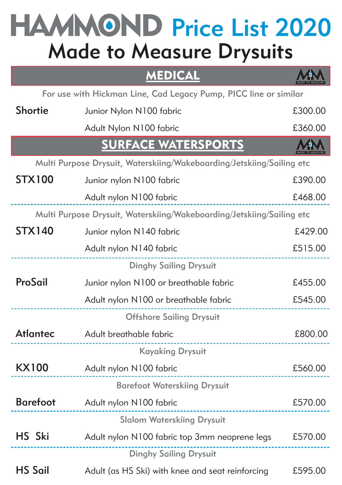# Made to Measure Drysuits HAMMOND Price List 2020

### MEDICAL



For use with Hickman Line, Cad Legacy Pump, PICC line or similar

| Shortie         | Junior Nylon N100 fabric                                              | £300.00 |
|-----------------|-----------------------------------------------------------------------|---------|
|                 | Adult Nylon N100 fabric                                               | £360.00 |
|                 | <b>SURFACE WATERSPORTS</b>                                            |         |
|                 | Multi Purpose Drysuit, Waterskiing/Wakeboarding/Jetskiing/Sailing etc |         |
| <b>STX100</b>   | Junior nylon N100 fabric                                              | £390.00 |
|                 | Adult nylon N100 fabric                                               | £468.00 |
|                 | Multi Purpose Drysuit, Waterskiing/Wakeboarding/Jetskiing/Sailing etc |         |
| <b>STX140</b>   | Junior nylon N140 fabric                                              | £429.00 |
|                 | Adult nylon N140 fabric                                               | £515.00 |
|                 | <b>Dinghy Sailing Drysuit</b>                                         |         |
| ProSail         | Junior nylon N100 or breathable fabric                                | £455.00 |
|                 | Adult nylon N100 or breathable fabric                                 | £545.00 |
|                 | <b>Offshore Sailing Drysuit</b>                                       |         |
| Atlantec        | Adult breathable fabric<br>                                           | £800.00 |
|                 | <b>Kayaking Drysuit</b>                                               |         |
| <b>KX100</b>    | Adult nylon N100 fabric<br>----------------------                     | £560.00 |
|                 | <b>Barefoot Waterskiing Drysuit</b>                                   |         |
| <b>Barefoot</b> | Adult nylon N100 fabric                                               | £570.00 |
|                 | <b>Slalom Waterskiing Drysuit</b>                                     |         |
| HS Ski          | Adult nylon N100 fabric top 3mm neoprene legs                         | £570.00 |
|                 | <b>Dinghy Sailing Drysuit</b>                                         |         |
| <b>HS Sail</b>  | Adult (as HS Ski) with knee and seat reinforcing                      | £595.00 |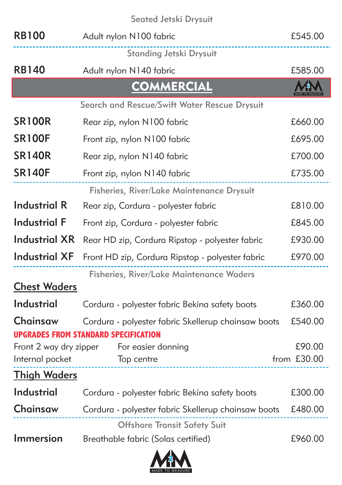#### Seated Jetski Drysuit

| <b>RB100</b>           | Adult nylon N100 fabric                             | £545.00     |
|------------------------|-----------------------------------------------------|-------------|
|                        | <b>Standing Jetski Drysuit</b>                      |             |
| <b>RB140</b>           | Adult nylon N140 fabric                             | £585.00     |
|                        | <b>COMMERCIAL</b>                                   |             |
|                        | Search and Rescue/Swift Water Rescue Drysuit        |             |
| <b>SR100R</b>          | Rear zip, nylon N100 fabric                         | £660.00     |
| <b>SR100F</b>          | Front zip, nylon N100 fabric                        | £695.00     |
| <b>SR140R</b>          | Rear zip, nylon N140 fabric                         | £700.00     |
| <b>SR140F</b>          | Front zip, nylon N140 fabric                        | £735.00     |
|                        | Fisheries, River/Lake Maintenance Drysuit           |             |
| <b>Industrial R</b>    | Rear zip, Cordura - polyester fabric                | £810.00     |
| <b>Industrial F</b>    | Front zip, Cordura - polyester fabric               | £845.00     |
| <b>Industrial XR</b>   | Rear HD zip, Cordura Ripstop - polyester fabric     | £930.00     |
| <b>Industrial XF</b>   | Front HD zip, Cordura Ripstop - polyester fabric    | £970.00     |
|                        | Fisheries, River/Lake Maintenance Waders            |             |
| <b>Chest Waders</b>    |                                                     |             |
| <b>Industrial</b>      | Cordura - polyester fabric Bekina safety boots      | £360.00     |
| Chainsaw               | Cordura - polyester fabric Skellerup chainsaw boots | £540.00     |
|                        | <b>UPGRADES FROM STANDARD SPECIFICATION</b>         |             |
| Front 2 way dry zipper | For easier donning                                  | £90.00      |
| Internal pocket        | Top centre                                          | from £30.00 |
| <b>Thigh Waders</b>    |                                                     |             |
| <b>Industrial</b>      | Cordura - polyester fabric Bekina safety boots      | £300.00     |
| Chainsaw               | Cordura - polyester fabric Skellerup chainsaw boots | £480.00     |
|                        | <b>Offshore Transit Safety Suit</b>                 |             |
| <b>Immersion</b>       | Breathable fabric (Solas certified)                 | £960.00     |

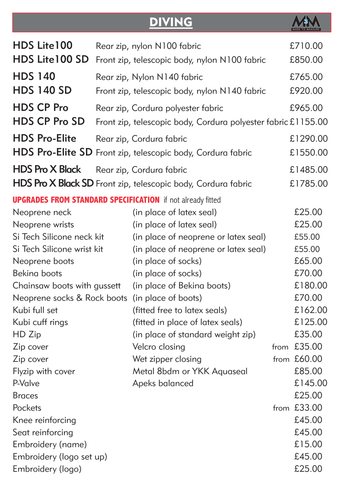## **DIVING**



| HDS Lite 100                | Rear zip, nylon N100 fabric                                       |      | £710.00     |
|-----------------------------|-------------------------------------------------------------------|------|-------------|
| HDS Lite 100 SD             | Front zip, telescopic body, nylon N100 fabric                     |      | £850.00     |
| <b>HDS 140</b>              | Rear zip, Nylon N140 fabric                                       |      | £765.00     |
| <b>HDS 140 SD</b>           | Front zip, telescopic body, nylon N140 fabric                     |      | £920.00     |
| <b>HDS CP Pro</b>           | Rear zip, Cordura polyester fabric                                |      | £965.00     |
| <b>HDS CP Pro SD</b>        | Front zip, telescopic body, Cordura polyester fabric £1155.00     |      |             |
| <b>HDS Pro-Elite</b>        | Rear zip, Cordura fabric                                          |      | £1290.00    |
|                             | HDS Pro-Elite SD Front zip, telescopic body, Cordura fabric       |      | £1550.00    |
| <b>HDS Pro X Black</b>      | Rear zip, Cordura fabric                                          |      | £1485.00    |
|                             | HDS Pro X Black SD Front zip, telescopic body, Cordura fabric     |      | £1785.00    |
|                             | <b>UPGRADES FROM STANDARD SPECIFICATION</b> if not already fitted |      |             |
| Neoprene neck               | (in place of latex seal)                                          |      | £25.00      |
| Neoprene wrists             | (in place of latex seal)                                          |      | £25.00      |
| Si Tech Silicone neck kit   | (in place of neoprene or latex seal)                              |      | £55.00      |
| Si Tech Silicone wrist kit  | (in place of neoprene or latex seal)                              |      | £55.00      |
| Neoprene boots              | (in place of socks)                                               |      | £65.00      |
| Bekina boots                | (in place of socks)                                               |      | £70.00      |
| Chainsaw boots with gussett | (in place of Bekina boots)                                        |      | £180.00     |
| Neoprene socks & Rock boots | (in place of boots)                                               |      | £70.00      |
| Kubi full set               | (fitted free to latex seals)                                      |      | £162.00     |
| Kubi cuff rings             | (fitted in place of latex seals)                                  |      | £125.00     |
| HD Zip                      | (in place of standard weight zip)                                 |      | £35.00      |
| Zip cover                   | Velcro closing                                                    | from | £35.00      |
| Zip cover                   | Wet zipper closing                                                |      | from £60.00 |
| Flyzip with cover           | Metal 8bdm or YKK Aquaseal                                        |      | £85.00      |
| P-Valve                     | Apeks balanced                                                    |      | £145.00     |
| <b>Braces</b>               |                                                                   |      | £25.00      |
| Pockets                     |                                                                   |      | from £33.00 |
| Knee reinforcing            |                                                                   |      | £45.00      |
| Seat reinforcing            |                                                                   |      | £45.00      |
| Embroidery (name)           |                                                                   |      | £15.00      |
| Embroidery (logo set up)    |                                                                   |      | £45.00      |
| Embroidery (logo)           |                                                                   |      | £25.00      |
|                             |                                                                   |      |             |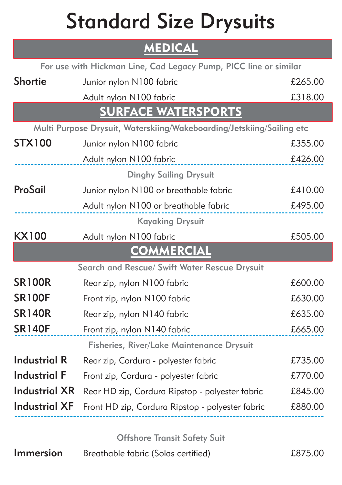# Standard Size Drysuits

### **MEDICAL**

| For use with Hickman Line, Cad Legacy Pump, PICC line or similar |                                                                       |         |  |  |
|------------------------------------------------------------------|-----------------------------------------------------------------------|---------|--|--|
| <b>Shortie</b>                                                   | Junior nylon N100 fabric                                              | £265.00 |  |  |
|                                                                  | Adult nylon N100 fabric                                               | £318.00 |  |  |
|                                                                  | <b>SURFACE WATERSPORTS</b>                                            |         |  |  |
|                                                                  | Multi Purpose Drysuit, Waterskiing/Wakeboarding/Jetskiing/Sailing etc |         |  |  |
| <b>STX100</b>                                                    | Junior nylon N100 fabric                                              | £355.00 |  |  |
|                                                                  | Adult nylon N100 fabric                                               | £426.00 |  |  |
|                                                                  | <b>Dinghy Sailing Drysuit</b>                                         |         |  |  |
| ProSail                                                          | Junior nylon N100 or breathable fabric                                | £410.00 |  |  |
|                                                                  | Adult nylon N100 or breathable fabric                                 | £495.00 |  |  |
|                                                                  | <b>Kayaking Drysuit</b>                                               |         |  |  |
| <b>KX100</b>                                                     | Adult nylon N100 fabric                                               | £505.00 |  |  |
|                                                                  | <b>COMMERCIAL</b>                                                     |         |  |  |
| Search and Rescue/ Swift Water Rescue Drysuit                    |                                                                       |         |  |  |
| <b>SR100R</b>                                                    | Rear zip, nylon N100 fabric                                           | £600.00 |  |  |
| <b>SR100F</b>                                                    | Front zip, nylon N100 fabric                                          | £630.00 |  |  |
| <b>SR140R</b>                                                    | Rear zip, nylon N140 fabric                                           | £635.00 |  |  |
| <b>SR140F</b>                                                    | Front zip, nylon N140 fabric                                          | £665.00 |  |  |
|                                                                  | Fisheries, River/Lake Maintenance Drysuit                             |         |  |  |
| <b>Industrial R</b>                                              | Rear zip, Cordura - polyester fabric                                  | £735.00 |  |  |
| <b>Industrial F</b>                                              | Front zip, Cordura - polyester fabric                                 | £770.00 |  |  |
| <b>Industrial XR</b>                                             | Rear HD zip, Cordura Ripstop - polyester fabric                       | £845.00 |  |  |
| <b>Industrial XF</b>                                             | Front HD zip, Cordura Ripstop - polyester fabric                      | £880.00 |  |  |

Offshore Transit Safety Suit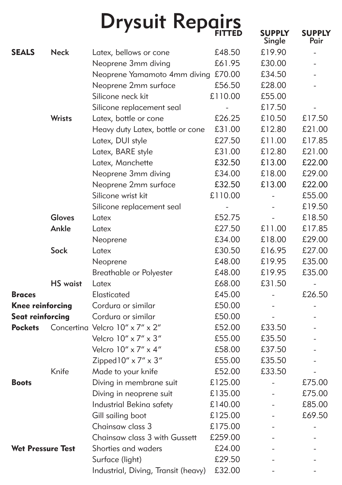|                          |                 | <b>Drysuit Repairs</b>              |                          | <b>SUPPLY</b><br>Single  | <b>SUPPLY</b><br>Pair |
|--------------------------|-----------------|-------------------------------------|--------------------------|--------------------------|-----------------------|
| <b>SEALS</b>             | <b>Neck</b>     | Latex, bellows or cone              | £48.50                   | £19.90                   |                       |
|                          |                 | Neoprene 3mm diving                 | £61.95                   | £30.00                   |                       |
|                          |                 | Neoprene Yamamoto 4mm diving        | £70.00                   | £34.50                   |                       |
|                          |                 | Neoprene 2mm surface                | £56.50                   | £28.00                   |                       |
|                          |                 | Silicone neck kit                   | £110.00                  | £55.00                   |                       |
|                          |                 | Silicone replacement seal           |                          | £17.50                   |                       |
|                          | Wrists          | Latex, bottle or cone               | £26.25                   | £10.50                   | £17.50                |
|                          |                 | Heavy duty Latex, bottle or cone    | £31.00                   | £12.80                   | £21.00                |
|                          |                 | Latex, DUI style                    | £27.50                   | £11.00                   | £17.85                |
|                          |                 | Latex, BARE style                   | £31.00                   | £12.80                   | £21.00                |
|                          |                 | Latex, Manchette                    | £32.50                   | £13.00                   | £22.00                |
|                          |                 | Neoprene 3mm diving                 | £34.00                   | £18.00                   | £29.00                |
|                          |                 | Neoprene 2mm surface                | £32.50                   | £13.00                   | £22.00                |
|                          |                 | Silicone wrist kit                  | £110.00                  | $\sim$                   | £55.00                |
|                          |                 | Silicone replacement seal           | $\overline{\phantom{a}}$ | $\overline{\phantom{a}}$ | £19.50                |
|                          | <b>Gloves</b>   | Latex                               | £52.75                   | $\overline{a}$           | £18.50                |
|                          | Ankle           | Latex                               | £27.50                   | £11.00                   | £17.85                |
|                          |                 | Neoprene                            | £34.00                   | £18.00                   | £29.00                |
|                          | Sock            | Latex                               | £30.50                   | £16.95                   | £27.00                |
|                          |                 | Neoprene                            | £48.00                   | £19.95                   | £35.00                |
|                          |                 | Breathable or Polyester             | £48.00                   | £19.95                   | £35.00                |
|                          | <b>HS</b> waist | Latex                               | £68.00                   | £31.50                   |                       |
| <b>Braces</b>            |                 | Elasticated                         | £45.00                   | $\overline{\phantom{a}}$ | £26.50                |
| <b>Knee reinforcing</b>  |                 | Cordura or similar                  | £50.00                   | $\overline{\phantom{a}}$ |                       |
| <b>Seat reinforcing</b>  |                 | Cordura or similar                  | £50.00                   | $\sim$                   |                       |
| <b>Pockets</b>           |                 | Concertina Velcro 10" x 7" x 2"     | £52.00                   | £33.50                   |                       |
|                          |                 | Velcro $10'' \times 7'' \times 3''$ | £55.00                   | £35.50                   |                       |
|                          |                 | Velcro $10'' \times 7'' \times 4''$ | £58.00                   | £37.50                   |                       |
|                          |                 | Zipped $10'' \times 7'' \times 3''$ | £55.00                   | £35.50                   |                       |
|                          | Knife           | Made to your knife                  | £52.00                   | £33.50                   |                       |
| <b>Boots</b>             |                 | Diving in membrane suit             | £125.00                  | $\overline{\phantom{a}}$ | £75.00                |
|                          |                 | Diving in neoprene suit             | £135.00                  |                          | £75.00                |
|                          |                 | Industrial Bekina safety            | £140.00                  |                          | £85.00                |
|                          |                 | Gill sailing boot                   | £125.00                  |                          | £69.50                |
|                          |                 | Chainsaw class 3                    | £175.00                  |                          |                       |
|                          |                 | Chainsaw class 3 with Gussett       | £259.00                  |                          |                       |
| <b>Wet Pressure Test</b> |                 | Shorties and waders                 | £24.00                   |                          |                       |
|                          |                 | Surface (light)                     | £29.50                   |                          |                       |
|                          |                 | Industrial, Diving, Transit (heavy) | £32.00                   |                          |                       |
|                          |                 |                                     |                          |                          |                       |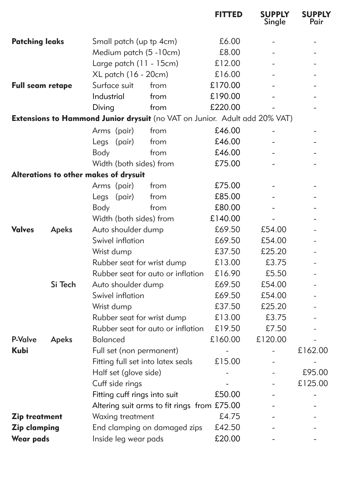|                       |         |                                                                            | <b>FITTED</b> | <b>SUPPLY</b><br>Single | <b>SUPPLY</b><br>Pair |
|-----------------------|---------|----------------------------------------------------------------------------|---------------|-------------------------|-----------------------|
| <b>Patching leaks</b> |         | Small patch (up tp 4cm)                                                    | £6.00         |                         |                       |
|                       |         | Medium patch (5 - 10cm)                                                    | £8.00         |                         |                       |
|                       |         | Large patch (11 - 15cm)                                                    | £12.00        |                         |                       |
|                       |         | XL patch (16 - 20cm)                                                       | £16.00        |                         |                       |
| Full seam retape      |         | Surface suit<br>from                                                       | £170.00       |                         |                       |
|                       |         | Industrial<br>from                                                         | £190.00       |                         |                       |
|                       |         | Diving<br>from                                                             | £220.00       |                         |                       |
|                       |         | Extensions to Hammond Junior drysuit (no VAT on Junior. Adult add 20% VAT) |               |                         |                       |
|                       |         | Arms (pair)<br>from                                                        | £46.00        |                         |                       |
|                       |         | Legs (pair)<br>from                                                        | £46.00        |                         |                       |
|                       |         | Body<br>from                                                               | £46.00        |                         |                       |
|                       |         | Width (both sides) from                                                    | £75.00        |                         |                       |
|                       |         | Alterations to other makes of drysuit                                      |               |                         |                       |
|                       |         | Arms (pair)<br>from                                                        | £75.00        |                         |                       |
|                       |         | Legs (pair)<br>from                                                        | £85.00        |                         |                       |
|                       |         | Body<br>from                                                               | £80.00        |                         |                       |
|                       |         | Width (both sides) from                                                    | £140.00       |                         |                       |
| <b>Valves</b>         | Apeks   | Auto shoulder dump                                                         | £69.50        | £54.00                  |                       |
|                       |         | Swivel inflation                                                           | £69.50        | £54.00                  |                       |
|                       |         | Wrist dump                                                                 | £37.50        | £25.20                  |                       |
|                       |         | Rubber seat for wrist dump                                                 | £13.00        | £3.75                   |                       |
|                       |         | Rubber seat for auto or inflation                                          | £16.90        | £5.50                   |                       |
|                       | Si Tech | Auto shoulder dump                                                         | £69.50        | £54.00                  |                       |
|                       |         | Swivel inflation                                                           | £69.50        | £54.00                  |                       |
|                       |         | Wrist dump                                                                 | £37.50        | £25.20                  |                       |
|                       |         | Rubber seat for wrist dump                                                 | £13.00        | £3.75                   |                       |
|                       |         | Rubber seat for auto or inflation                                          | £19.50        | £7.50                   |                       |
| P-Valve               | Apeks   | <b>Balanced</b>                                                            | £160.00       | £120.00                 |                       |
| Kubi                  |         | Full set (non permanent)                                                   |               |                         | £162.00               |
|                       |         | Fitting full set into latex seals                                          | £15.00        |                         |                       |
|                       |         | Half set (glove side)                                                      |               |                         | £95.00                |
|                       |         | Cuff side rings                                                            |               |                         | £125.00               |
|                       |         | Fitting cuff rings into suit                                               | £50.00        |                         |                       |
|                       |         | Altering suit arms to fit rings from £75.00                                |               |                         |                       |
| <b>Zip treatment</b>  |         | Waxing treatment                                                           | £4.75         |                         |                       |
| <b>Zip clamping</b>   |         | End clamping on damaged zips                                               | £42.50        |                         |                       |
| <b>Wear pads</b>      |         | Inside leg wear pads                                                       | £20.00        |                         |                       |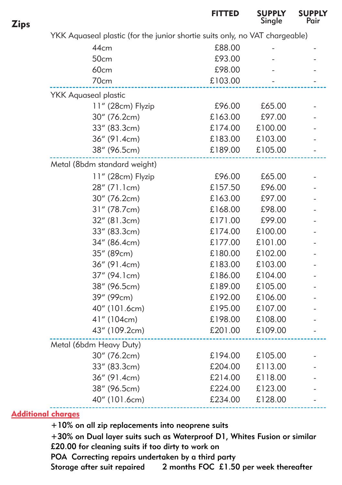|                                                                             | <b>FITTED</b> | <b>SUPPLY</b><br>Single | SUPPLY<br>Pair |
|-----------------------------------------------------------------------------|---------------|-------------------------|----------------|
| YKK Aquaseal plastic (for the junior shortie suits only, no VAT chargeable) |               |                         |                |
| 44cm                                                                        | £88.00        |                         |                |
| 50cm                                                                        | £93.00        |                         |                |
| <b>60cm</b>                                                                 | £98.00        |                         |                |
| 70cm                                                                        | £103.00       |                         |                |
| <b>YKK Aquaseal plastic</b>                                                 |               |                         |                |
| 11" (28cm) Flyzip                                                           | £96.00        | £65.00                  |                |
| 30" (76.2cm)                                                                | £163.00       | £97.00                  |                |
| 33" (83.3cm)                                                                | £174.00       | £100.00                 |                |
| 36" (91.4cm)                                                                | £183.00       | £103.00                 |                |
| 38" (96.5cm)                                                                | £189.00       | £105.00                 |                |
| Metal (8bdm standard weight)                                                |               |                         |                |
| 11" (28cm) Flyzip                                                           | £96.00        | £65.00                  |                |
| 28" (71.1cm)                                                                | £157.50       | £96.00                  |                |
| 30" (76.2cm)                                                                | £163.00       | £97.00                  |                |
| 31" (78.7cm)                                                                | £168.00       | £98.00                  |                |
| 32" (81.3cm)                                                                | £171.00       | £99.00                  |                |
| 33" (83.3cm)                                                                | £174.00       | £100.00                 |                |
| 34" (86.4cm)                                                                | £177.00       | £101.00                 |                |
| 35" (89cm)                                                                  | £180.00       | £102.00                 |                |
| 36" (91.4cm)                                                                | £183.00       | £103.00                 |                |
| 37" (94.1cm)                                                                | £186.00       | £104.00                 |                |
| 38" (96.5cm)                                                                | £189.00       | £105.00                 |                |
| 39" (99cm)                                                                  | £192.00       | £106.00                 |                |
| 40" (101.6cm)                                                               | £195.00       | £107.00                 |                |
| 41" (104cm)                                                                 | £198.00       | £108.00                 |                |
| 43" (109.2cm)                                                               | £201.00       | £109.00                 |                |
| Metal (6bdm Heavy Duty)                                                     |               |                         |                |
| 30" (76.2cm)                                                                | £194.00       | £105.00                 |                |
| 33" (83.3cm)                                                                | £204.00       | £113.00                 |                |
| 36" (91.4cm)                                                                | £214.00       | £118.00                 |                |
| 38" (96.5cm)                                                                | £224.00       | £123.00                 |                |
| 40" (101.6cm)                                                               | £234.00       | £128.00                 |                |
|                                                                             |               |                         |                |

Additional charges

+10% on all zip replacements into neoprene suits

+30% on Dual layer suits such as Waterproof D1, Whites Fusion or similar £20.00 for cleaning suits if too dirty to work on POA Correcting repairs undertaken by a third party

Storage after suit repaired 2 months FOC £1.50 per week thereafter